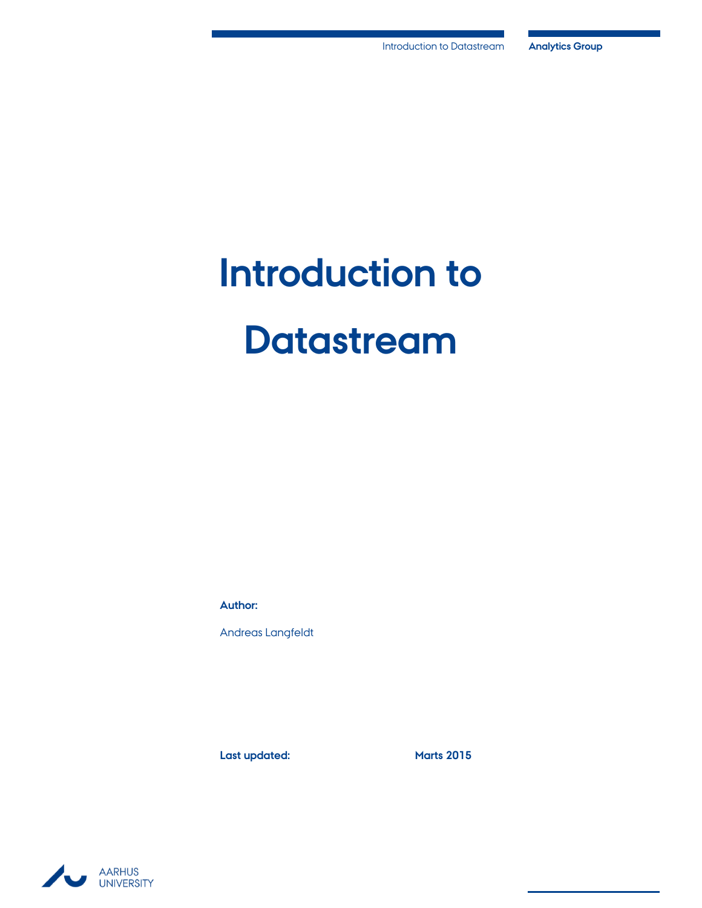# **Introduction to Datastream**

**Author:**

Andreas Langfeldt

Last updated: Marts 2015

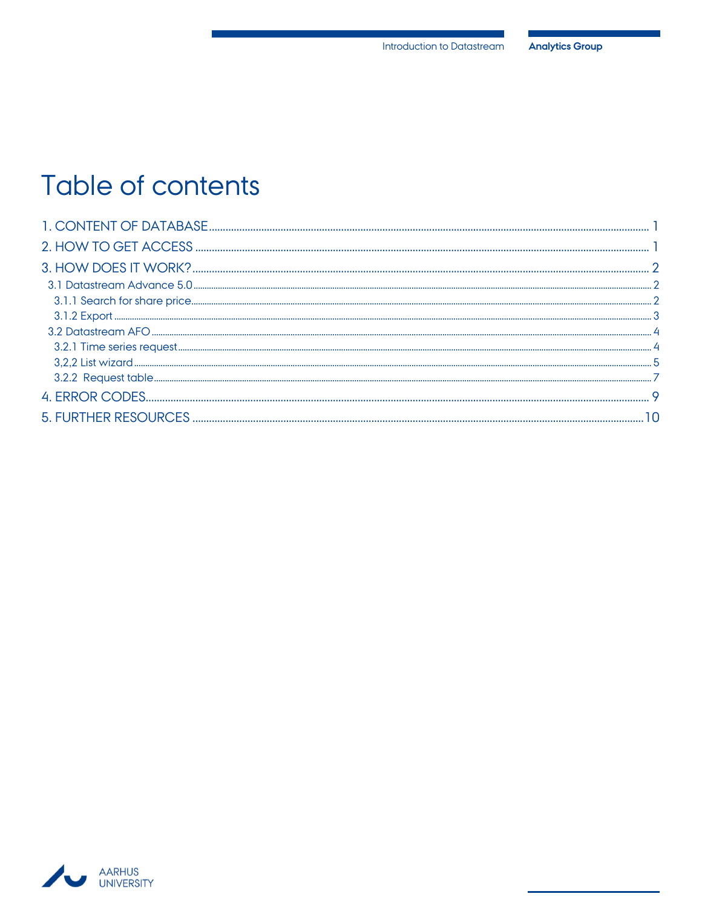## Table of contents

| <u>ative and the second community of the second community of the second community of the second community of the second community of the second community of the second community of the second community of the second communit</u> |  |
|--------------------------------------------------------------------------------------------------------------------------------------------------------------------------------------------------------------------------------------|--|
|                                                                                                                                                                                                                                      |  |
|                                                                                                                                                                                                                                      |  |
|                                                                                                                                                                                                                                      |  |
|                                                                                                                                                                                                                                      |  |
|                                                                                                                                                                                                                                      |  |
|                                                                                                                                                                                                                                      |  |

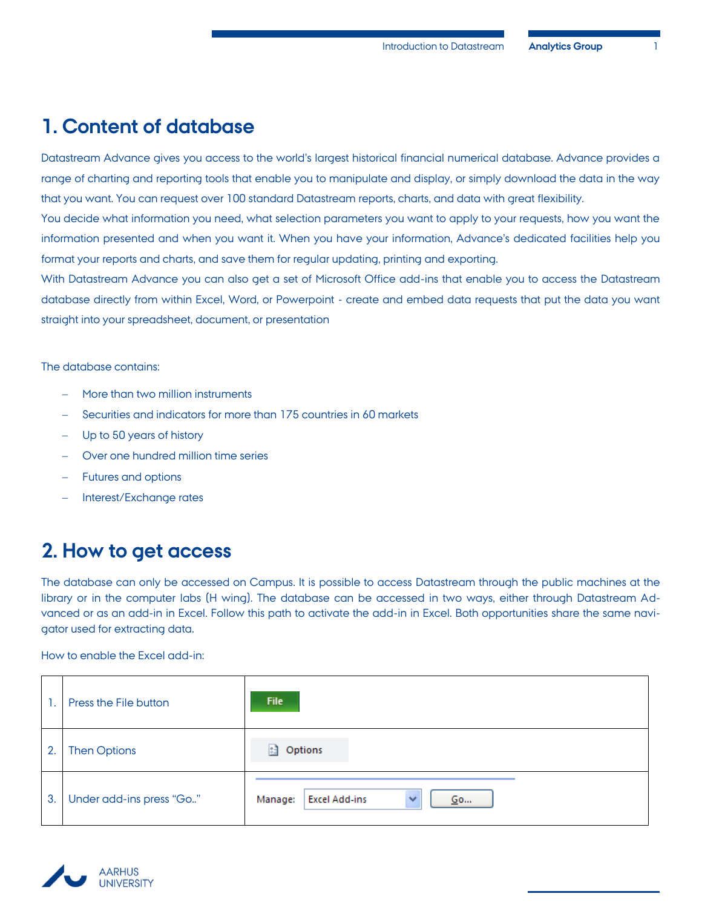## <span id="page-2-0"></span>**1. Content of database**

Datastream Advance gives you access to the world's largest historical financial numerical database. Advance provides a range of charting and reporting tools that enable you to manipulate and display, or simply download the data in the way that you want. You can request over 100 standard Datastream reports, charts, and data with great flexibility.

You decide what information you need, what selection parameters you want to apply to your requests, how you want the information presented and when you want it. When you have your information, Advance's dedicated facilities help you format your reports and charts, and save them for regular updating, printing and exporting.

With Datastream Advance you can also get a set of Microsoft Office add-ins that enable you to access the Datastream database directly from within Excel, Word, or Powerpoint - create and embed data requests that put the data you want straight into your spreadsheet, document, or presentation

The database contains:

- More than two million instruments
- Securities and indicators for more than 175 countries in 60 markets
- Up to 50 years of history
- Over one hundred million time series
- Futures and options
- <span id="page-2-1"></span>Interest/Exchange rates

## **2. How to get access**

The database can only be accessed on Campus. It is possible to access Datastream through the public machines at the library or in the computer labs (H wing). The database can be accessed in two ways, either through Datastream Advanced or as an add-in in Excel. Follow this path to activate the add-in in Excel. Both opportunities share the same navigator used for extracting data.

How to enable the Excel add-in:

|    | Press the File button    | File                                                  |
|----|--------------------------|-------------------------------------------------------|
| 2. | <b>Then Options</b>      | Options<br>183                                        |
| 3. | Under add-ins press "Go" | <b>Excel Add-ins</b><br>Manage:<br>Go<br>$\checkmark$ |

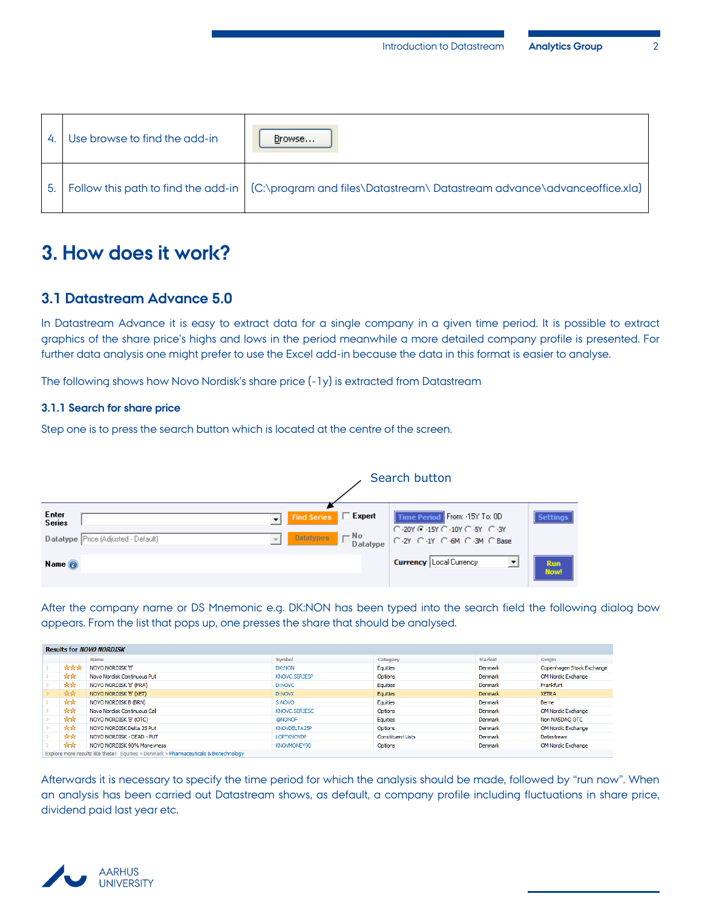| 4   | Use browse to find the add-in | Browse                                                                                                       |
|-----|-------------------------------|--------------------------------------------------------------------------------------------------------------|
| 5.1 |                               | Follow this path to find the add-in   (C:\program and files\Datastream\Datastream advance\advanceoffice.xla) |

## <span id="page-3-0"></span>**3. How does it work?**

#### <span id="page-3-1"></span>**3.1 Datastream Advance 5.0**

In Datastream Advance it is easy to extract data for a single company in a given time period. It is possible to extract graphics of the share price's highs and lows in the period meanwhile a more detailed company profile is presented. For further data analysis one might prefer to use the Excel add-in because the data in this format is easier to analyse.

The following shows how Novo Nordisk's share price (-1y) is extracted from Datastream

#### <span id="page-3-2"></span>**3.1.1 Search for share price**

Step one is to press the search button which is located at the centre of the screen.

|                                                               |                          |                       |                            | Search button                                                                              |                    |
|---------------------------------------------------------------|--------------------------|-----------------------|----------------------------|--------------------------------------------------------------------------------------------|--------------------|
| Enter<br><b>Series</b><br>Datatype Price (Adjusted - Default) | $\overline{\mathcal{N}}$ | Find Series FE Expert | Datatypes   No<br>Datatype | Time Period From: -15Y To: 0D<br>C 20Y C 15Y C 10Y C 5Y C 3Y<br>C-2Y C-1Y C-6M C-3M C-Base | <b>Settings</b>    |
| Name <sub>o</sub>                                             |                          |                       |                            | <b>Currency</b> Local Currency<br>$\overline{\phantom{a}}$                                 | <b>Run</b><br>Now! |

After the company name or DS Mnemonic e.g. DK:NON has been typed into the search field the following dialog bow appears. From the list that pops up, one presses the share that should be analysed.

| <b>Results for NOVO NORDISK</b> |                |                                                                                         |                   |                          |         |                           |
|---------------------------------|----------------|-----------------------------------------------------------------------------------------|-------------------|--------------------------|---------|---------------------------|
|                                 |                | Name                                                                                    | Symbol            | Category                 | Market  | Origin                    |
|                                 | <b>Arskrik</b> | NOVO NORDISK 'B'                                                                        | <b>DK:NON</b>     | Equities                 | Denmark | Copenhagen Stock Exchange |
|                                 | <b>Ark</b>     | Novo Nordisk Continuous Put                                                             | KNOVC.SERIESP     | Options                  | Denmark | OM Nordic Exchange        |
|                                 | <b>Ark</b>     | NOVO NORDISK 'B' (FRA)                                                                  | D:NOVC            | Equities                 | Denmark | Frankfurt                 |
|                                 | <b>Ark</b>     | NOVO NORDISK 'B' (XET)                                                                  | D:NOVX            | Equities                 | Denmark | <b>XETRA</b>              |
|                                 | <b>Ark</b>     | NOVO NORDISK B (BRN)                                                                    | S:NOVO            | Equities                 | Denmark | Berne                     |
|                                 | **             | Novo Nordisk Continuous Call                                                            | KNOVC.SERIESC     | Options                  | Denmark | OM Nordic Exchange        |
|                                 | **             | NOVO NORDISK 'B' (OTC)                                                                  | <b>@NONOF</b>     | Equities                 | Denmark | Non NASDAO OTC            |
|                                 | **             | NOVO NORDISK Delta 25 Put                                                               | KNOVDELTA25P      | Options                  | Denmark | OM Nordic Exchange        |
|                                 | **             | NOVO NORDISK - DEAD - PUT                                                               | <b>LOPTKNOVDP</b> | <b>Constituent Lists</b> | Denmark | Datastream                |
|                                 | **             | NOVO NORDISK 90% Moneyness                                                              | KNOVMONEY90       | Options                  | Denmark | OM Nordic Exchange        |
|                                 |                | Evolara more regulta like these: Equities y Denmark y Pharmaceuticals 8. Ristochoology. |                   |                          |         |                           |

Afterwards it is necessary to specify the time period for which the analysis should be made, followed by "run now". When an analysis has been carried out Datastream shows, as default, a company profile including fluctuations in share price, dividend paid last year etc.

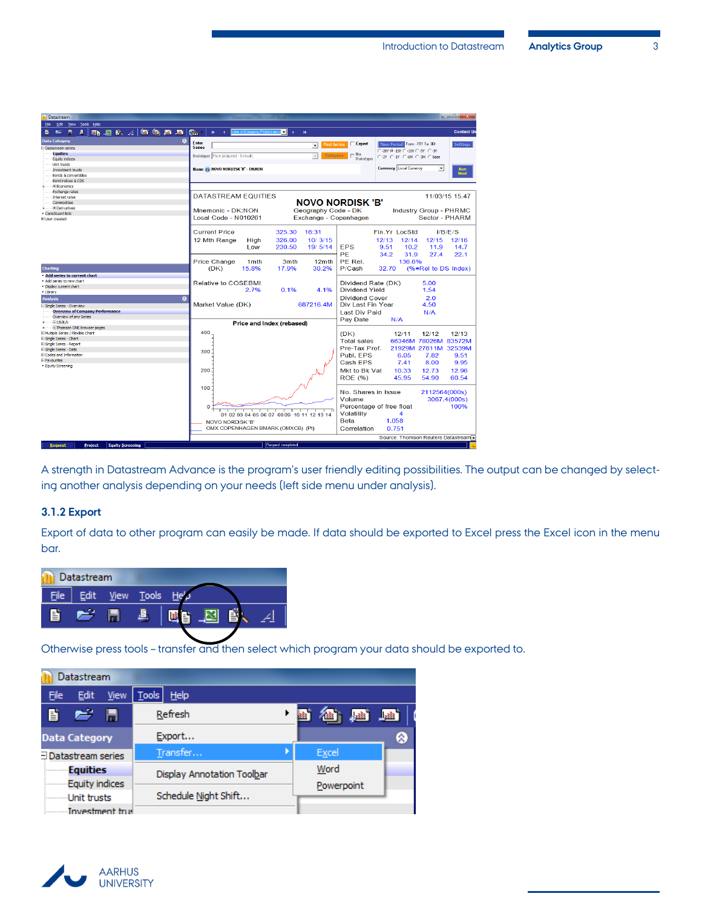| Datastream                                   |                                                           |                          |                           |                                                |                         |                                      |                               |                   |
|----------------------------------------------|-----------------------------------------------------------|--------------------------|---------------------------|------------------------------------------------|-------------------------|--------------------------------------|-------------------------------|-------------------|
| File<br>Edit View Tools Help                 |                                                           |                          |                           |                                                |                         |                                      |                               |                   |
|                                              |                                                           |                          |                           |                                                |                         |                                      |                               |                   |
| <b>四日国家 4 個角層層 (品</b><br><b>CB</b><br>昏<br>區 | $\mathbf R$                                               | v of Company Performanci | $\mathbf{r}$              | м                                              |                         |                                      |                               | <b>Contact Us</b> |
| $\Omega$<br><b>Data Category</b>             | Enter                                                     |                          |                           |                                                | $\Box$ Expert           |                                      |                               |                   |
| <b>El Datastream series</b>                  | <b>Series</b>                                             |                          |                           | <b>Find Series</b><br>$\overline{\phantom{a}}$ |                         | Time Period From -15Y To: 0D         |                               | <b>Settings</b>   |
| <b>Equities</b>                              |                                                           |                          |                           | <b>Datatypes</b>                               | $\Gamma$ No             | C -20Y ( -15Y C -10Y C -5Y C -3Y     |                               |                   |
| <b>Equity indices</b>                        | Datatype Price [Adjusted - Default]                       |                          |                           |                                                | Datatype                | C-2Y C-1Y C-6M C-3M C-Base           |                               |                   |
| <b>Unit trusts</b>                           |                                                           |                          |                           |                                                |                         |                                      |                               |                   |
| Investment trusts                            | Name NOVO NORDISK 'B' - DK:NON                            |                          |                           |                                                |                         | <b>Currency</b> Local Currency       | $\blacktriangledown$          | Run               |
| Bonds & convertibles                         |                                                           |                          |                           |                                                |                         |                                      |                               | <b>Now!</b>       |
| Bond indices & CDS                           |                                                           |                          |                           |                                                |                         |                                      |                               |                   |
| E Economics                                  |                                                           |                          |                           |                                                |                         |                                      |                               |                   |
| Exchange rates                               | <b>DATASTREAM EQUITIES</b>                                |                          |                           |                                                |                         |                                      |                               | 11/03/15 15:47    |
| Interest rates                               |                                                           |                          |                           |                                                |                         |                                      |                               |                   |
| Commodities                                  |                                                           |                          |                           |                                                | <b>NOVO NORDISK 'B'</b> |                                      |                               |                   |
| <b>El Derivatives</b>                        | Mnemonic - DK:NON                                         |                          |                           | Geography Code - DK                            |                         |                                      | <b>Industry Group - PHRMC</b> |                   |
| Constituent lists<br><b>Hillser</b> created  | Local Code - N010261                                      |                          |                           | Exchange - Copenhagen                          |                         |                                      | Sector - PHARM                |                   |
|                                              |                                                           |                          |                           |                                                |                         |                                      |                               |                   |
|                                              |                                                           |                          |                           |                                                |                         |                                      |                               |                   |
|                                              | <b>Current Price</b>                                      |                          | 325.30                    | 16:31                                          |                         | Fin.Yr LocStd                        |                               | I/B/F/S           |
|                                              | 12 Mth Range                                              | High                     | 326.00                    | 10/3/15                                        |                         | 12/13<br>12/14                       | 12/15                         | 12/16             |
|                                              |                                                           | Low                      | 230.50                    | 19/5/14                                        | <b>EPS</b>              | 9.51<br>10.2 <sub>2</sub>            | 11.9                          | 14.7              |
|                                              |                                                           |                          |                           |                                                |                         |                                      |                               |                   |
|                                              |                                                           |                          |                           |                                                | PF                      | 34.2<br>31.9                         | 27.4                          | 22.1              |
|                                              | <b>Price Change</b>                                       | 1 <sub>mth</sub>         | 3mth                      | 12mth                                          | PF Rel.                 | 136.6%                               |                               |                   |
| <b>Charting</b>                              | (DK)                                                      | 15.8%                    | 17.9%                     | 30.2%                                          | P/Cash                  | 32.70                                | (%=Rel to DS Index)           |                   |
| Add series to current chart                  |                                                           |                          |                           |                                                |                         |                                      |                               |                   |
| Add series to new chart                      | <b>Relative to COSEBMI</b>                                |                          |                           |                                                | Dividend Rate (DK)      |                                      | 5.00                          |                   |
| · Display current chart                      |                                                           |                          |                           |                                                |                         |                                      |                               |                   |
| - Library                                    |                                                           | 2.7%                     | 0.1%                      | 4.1%                                           | <b>Dividend Yield</b>   |                                      | 1.54                          |                   |
| $\circ$<br><b>Analysis</b>                   |                                                           |                          |                           |                                                | <b>Dividend Cover</b>   |                                      | 2.0                           |                   |
| El Single Series - Overview                  | Market Value (DK)                                         |                          |                           | 687216.4M                                      | Div Last Fin Year       |                                      | 4.50                          |                   |
| <b>Overview of Company Performance</b>       |                                                           |                          |                           |                                                | <b>Last Div Paid</b>    |                                      | N/A                           |                   |
| Overview of any Series                       |                                                           |                          |                           |                                                |                         |                                      |                               |                   |
| - 国I/B/E/S                                   |                                                           |                          | Price and Index (rebased) |                                                | Pay Date                | N/A                                  |                               |                   |
| i Thomson ONE browser pages                  |                                                           |                          |                           |                                                |                         |                                      |                               |                   |
| El Multiple Series / Flexible Chart          | 400                                                       |                          |                           |                                                | (DK)                    | 12/11                                | 12/12                         | 12/13             |
| El Single Series - Chart                     |                                                           |                          |                           |                                                | <b>Total sales</b>      |                                      | 66346M 78026M 83572M          |                   |
| El Single Series - Report                    |                                                           |                          |                           |                                                |                         |                                      |                               |                   |
| El Single Series - Data                      | 300                                                       |                          |                           |                                                | Pre-Tax Prof.           |                                      | 21929M 27811M 32539M          |                   |
| <b>El Codes and Information</b>              |                                                           |                          |                           |                                                | Publ. EPS               | 6.05                                 | 7.82                          | 9.51              |
| El Favourites                                |                                                           |                          |                           |                                                | Cash FPS                | 7.41                                 | 8.00                          | 9.95              |
| - Equity Screening                           | 200                                                       |                          |                           |                                                |                         |                                      |                               |                   |
|                                              |                                                           |                          |                           |                                                | Mkt to Bk Val           | 10.33                                | 12.73                         | 12.96             |
|                                              |                                                           |                          |                           |                                                | <b>ROE (%)</b>          | 45.95                                | 54.90                         | 60.54             |
|                                              |                                                           |                          |                           |                                                |                         |                                      |                               |                   |
|                                              | 100                                                       |                          |                           |                                                | No. Shares in Issue     |                                      | 2112564(000s)                 |                   |
|                                              |                                                           |                          |                           |                                                | Volume                  |                                      |                               | 3067.4(000s)      |
|                                              |                                                           |                          |                           |                                                |                         |                                      |                               |                   |
|                                              | $\Omega$                                                  |                          |                           |                                                |                         | Percentage of free float             |                               | 100%              |
|                                              |                                                           |                          |                           | 01 02 03 04 05 06 07 08 09 10 11 12 13 14      | Volatility              | 4                                    |                               |                   |
|                                              | <b>NOVO NORDISK 'B'</b>                                   |                          |                           | Beta                                           | 1.058                   |                                      |                               |                   |
|                                              | OMX COPENHAGEN BMARK (OMXCB) (PI)<br>Correlation<br>0.751 |                          |                           |                                                |                         |                                      |                               |                   |
|                                              |                                                           |                          |                           |                                                |                         |                                      |                               |                   |
|                                              |                                                           |                          |                           |                                                |                         | Source: Thomson Reuters Datastream - |                               |                   |

A strength in Datastream Advance is the program's user friendly editing possibilities. The output can be changed by selecting another analysis depending on your needs (left side menu under analysis).

#### <span id="page-4-0"></span>**3.1.2 Export**

Export of data to other program can easily be made. If data should be exported to Excel press the Excel icon in the menu bar.



Otherwise press tools – transfer and then select which program your data should be exported to.

|                      | Datastream            |                        |              |          |                            |  |            |   |   |   |
|----------------------|-----------------------|------------------------|--------------|----------|----------------------------|--|------------|---|---|---|
| <b>File</b>          | Edit                  | View                   | <b>Tools</b> | Help     |                            |  |            |   |   |   |
| 昏                    | e H                   |                        |              | Refresh  |                            |  |            | 趣 | 國 |   |
| <b>Data Category</b> |                       |                        |              | Export   |                            |  |            |   |   | Q |
| Datastream series    |                       |                        |              | Transfer |                            |  | Excel      |   |   |   |
|                      | Equities              |                        |              |          | Display Annotation Toolbar |  | Word       |   |   |   |
|                      | <b>Equity indices</b> |                        |              |          |                            |  | Powerpoint |   |   |   |
|                      | Unit trusts           |                        |              |          | Schedule Night Shift       |  |            |   |   |   |
|                      |                       | <b>Investment</b> trus |              |          |                            |  |            |   |   |   |

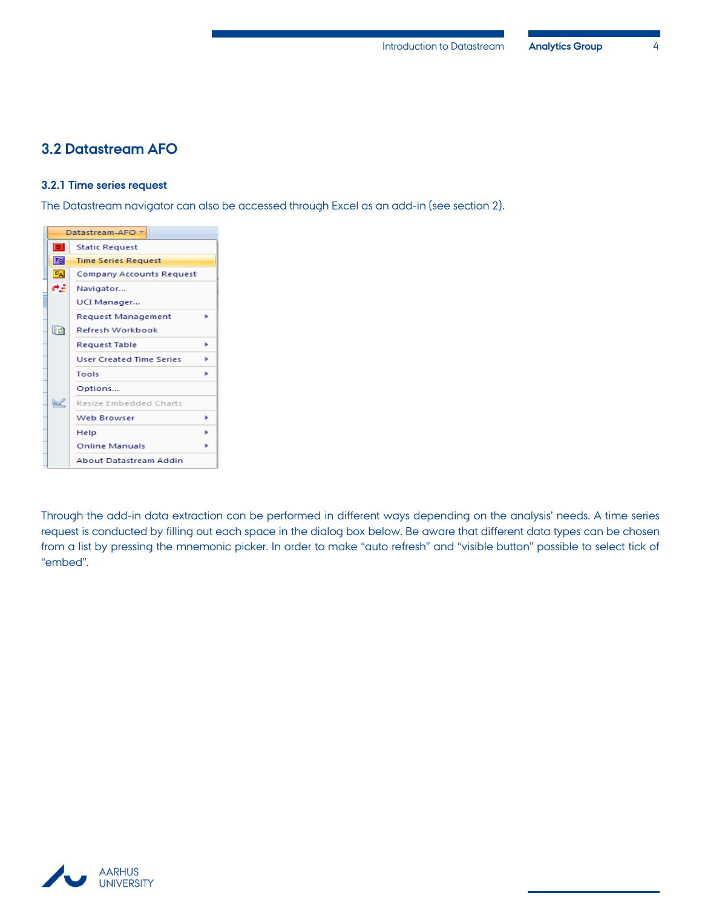#### <span id="page-5-0"></span>**3.2 Datastream AFO**

#### <span id="page-5-1"></span>**3.2.1 Time series request**

The Datastream navigator can also be accessed through Excel as an add-in (see section 2).

|                | Datastream-AFO =                |   |
|----------------|---------------------------------|---|
| Б              | <b>Static Request</b>           |   |
| Isl            | <b>Time Series Request</b>      |   |
| $E_{\text{A}}$ | <b>Company Accounts Request</b> |   |
| as.            | Navigator                       |   |
|                | UCI Manager                     |   |
|                | <b>Request Management</b>       |   |
| la             | <b>Refresh Workbook</b>         |   |
|                | <b>Request Table</b>            | ь |
|                | <b>User Created Time Series</b> | ь |
|                | Tools                           | ь |
|                | Options                         |   |
| ×              | <b>Resize Embedded Charts</b>   |   |
|                | Web Browser                     | ь |
|                | Help                            |   |
|                | <b>Online Manuals</b>           |   |
|                | About Datastream Addin          |   |

Through the add-in data extraction can be performed in different ways depending on the analysis' needs. A time series request is conducted by filling out each space in the dialog box below. Be aware that different data types can be chosen from a list by pressing the mnemonic picker. In order to make "auto refresh" and "visible button" possible to select tick of "embed".

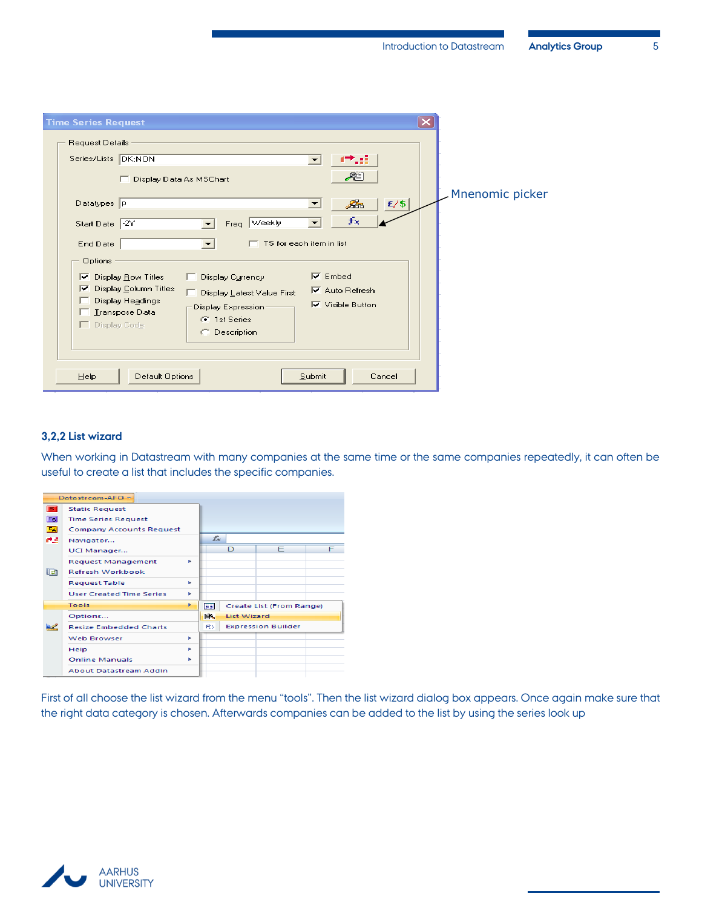| <b>Time Series Request</b>                                                             |                 |
|----------------------------------------------------------------------------------------|-----------------|
| Request Details                                                                        |                 |
| Series/Lists DK:NON<br>≖                                                               |                 |
| æi<br>Display Data As MSChart                                                          | Mnenomic picker |
| $E/$ \$<br>Æ<br>Datatypes P<br>►                                                       |                 |
| $f_{\rm X}$<br>Freq Weekly<br>Start Date -2Y<br>$\overline{\phantom{a}}$<br>▾          |                 |
| TS for each item in list<br>End Date                                                   |                 |
| <b>Options</b>                                                                         |                 |
| $\nabla$ Embed<br>Display Row Titles<br>Display Currency<br>▿                          |                 |
| Display Column Titles<br> ⊽<br>$\nabla$ Auto Refresh<br>□ Display Latest Value First   |                 |
| Display Headings<br>$\nabla$ Visible Button<br>Display Expression-<br>□ Transpose Data |                 |
| <b>6</b> 1st Series<br>Display Code                                                    |                 |
| Description<br>O.                                                                      |                 |
|                                                                                        |                 |
| Cancel                                                                                 |                 |
| Default Options<br>Submit<br>Help                                                      |                 |

#### <span id="page-6-0"></span>**3,2,2 List wizard**

When working in Datastream with many companies at the same time or the same companies repeatedly, it can often be useful to create a list that includes the specific companies.

|                | Datastream-AFO *                |    |       |                           |                          |   |
|----------------|---------------------------------|----|-------|---------------------------|--------------------------|---|
| <b>S</b>       | <b>Static Request</b>           |    |       |                           |                          |   |
| <b>Tsi</b>     | <b>Time Series Request</b>      |    |       |                           |                          |   |
| $E_{\text{A}}$ | <b>Company Accounts Request</b> |    |       |                           |                          |   |
| ma.            | Navigator                       |    | $f_x$ |                           |                          |   |
|                | UCI Manager                     |    |       | D                         | Е                        | F |
|                | <b>Request Management</b>       | ٠  |       |                           |                          |   |
| lla            | <b>Refresh Workbook</b>         |    |       |                           |                          |   |
|                | <b>Request Table</b>            | ×. |       |                           |                          |   |
|                | <b>User Created Time Series</b> | ٠  |       |                           |                          |   |
|                | Tools                           | ×  | 医理    |                           | Create List (From Range) |   |
|                | Options                         |    | BA.   | <b>List Wizard</b>        |                          |   |
|                | <b>Resize Embedded Charts</b>   |    | 我す    | <b>Expression Builder</b> |                          |   |
|                | <b>Web Browser</b>              | b. |       |                           |                          |   |
|                | Help                            | ٠  |       |                           |                          |   |
|                | <b>Online Manuals</b>           | ь  |       |                           |                          |   |
|                | <b>About Datastream Addin</b>   |    |       |                           |                          |   |

First of all choose the list wizard from the menu "tools". Then the list wizard dialog box appears. Once again make sure that the right data category is chosen. Afterwards companies can be added to the list by using the series look up

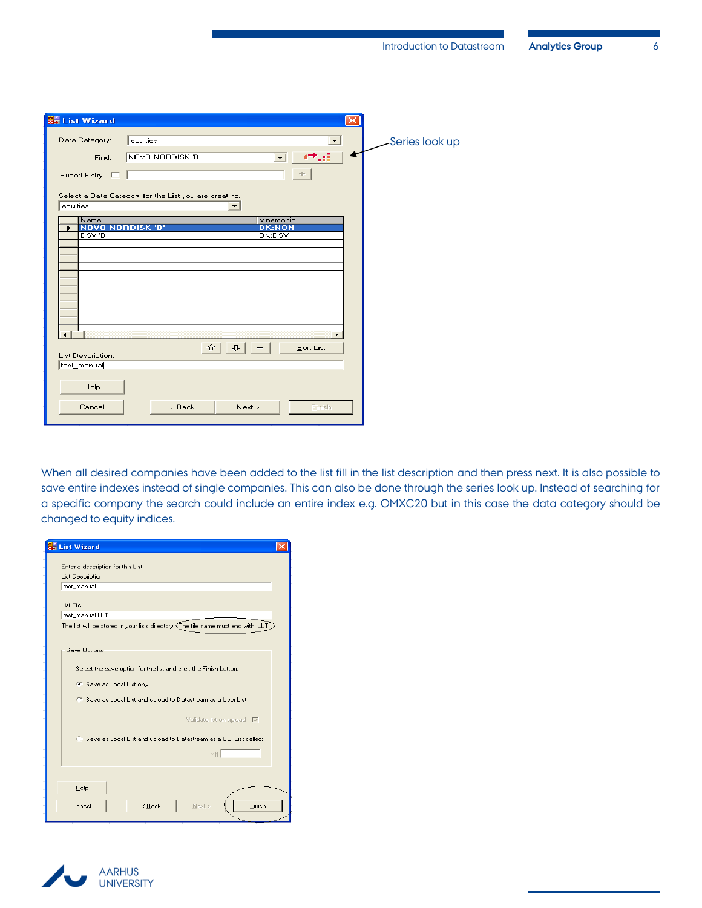| <b>Bo</b> List Wizard                                                             |                 |
|-----------------------------------------------------------------------------------|-----------------|
| Data Category:<br>equities<br>×<br>NOVO NORDISK 'B'<br>Find:                      | -Series look up |
| ÷<br>Expert Entry $\Box$<br>Select a Data Category for the List you are creating. |                 |
| equities<br>▼                                                                     |                 |
| Name<br>Mnemonic                                                                  |                 |
| <b>DK:NON</b><br><b>NOVO NORDISK 'B'</b><br>DSV 'B'<br>DK:DSV                     |                 |
|                                                                                   |                 |
|                                                                                   |                 |
|                                                                                   |                 |
|                                                                                   |                 |
|                                                                                   |                 |
|                                                                                   |                 |
|                                                                                   |                 |
|                                                                                   |                 |
| $\frac{1}{2}$ - 1<br>슌│<br>Sort List<br>List Description:                         |                 |
| test_manual                                                                       |                 |
| HeIp                                                                              |                 |
| $\leq$ $\underline{\mathsf{B}}$ ack<br>Next<br>Einish<br>Cancel                   |                 |

When all desired companies have been added to the list fill in the list description and then press next. It is also possible to save entire indexes instead of single companies. This can also be done through the series look up. Instead of searching for a specific company the search could include an entire index e.g. OMXC20 but in this case the data category should be changed to equity indices.

| <b>SS List Wizard</b>                                                              |
|------------------------------------------------------------------------------------|
|                                                                                    |
| Enter a description for this List.                                                 |
| List Description:                                                                  |
| test manual                                                                        |
| List File:                                                                         |
| test manual.LLT                                                                    |
| The list will be stored in your lists directory. (The file name must end with .LLT |
|                                                                                    |
| Save Options                                                                       |
|                                                                                    |
| Select the save option for the list and click the Finish button.                   |
| 6 Save as Local List only                                                          |
|                                                                                    |
| C Save as Local List and upload to Datastream as a User List                       |
|                                                                                    |
| Validate list on upload V                                                          |
| C Save as Local List and upload to Datastream as a UCI List called:                |
|                                                                                    |
| $\times$ #                                                                         |
|                                                                                    |
|                                                                                    |
| Help                                                                               |
| Finish<br>Cancel<br>< Back<br>Next >                                               |
|                                                                                    |
|                                                                                    |

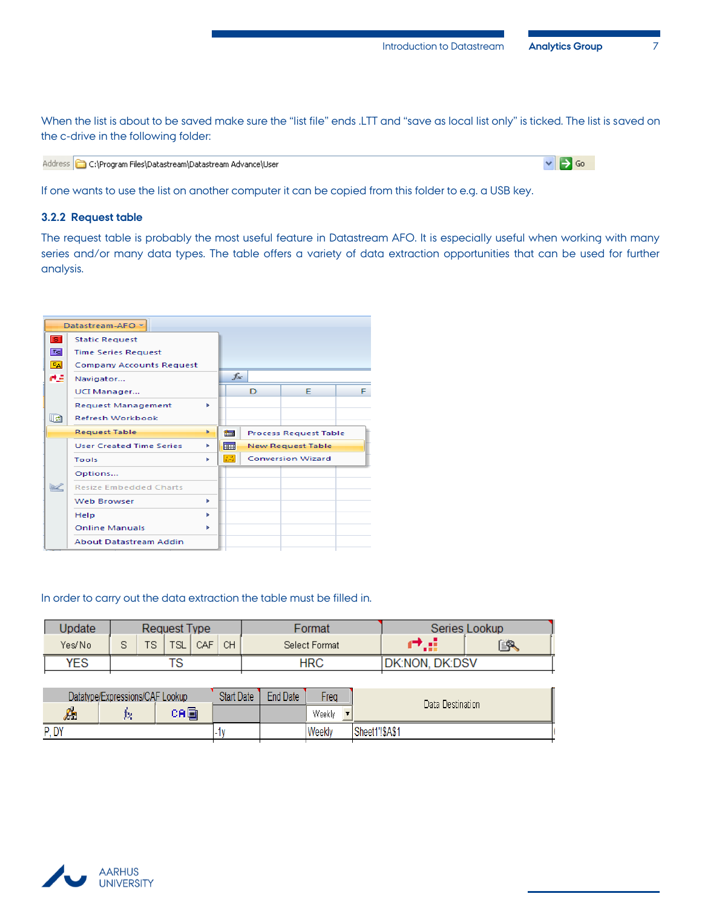When the list is about to be saved make sure the "list file" ends .LTT and "save as local list only" is ticked. The list is saved on the c-drive in the following folder:

| Address C:\Program Files\Datastream\Datastream Advance\User |
|-------------------------------------------------------------|
|-------------------------------------------------------------|

 $\triangledown$   $\rightarrow$  Go

If one wants to use the list on another computer it can be copied from this folder to e.g. a USB key.

#### <span id="page-8-0"></span>**3.2.2 Request table**

The request table is probably the most useful feature in Datastream AFO. It is especially useful when working with many series and/or many data types. The table offers a variety of data extraction opportunities that can be used for further analysis.



#### In order to carry out the data extraction the table must be filled in.

| Jpdate | Request Type |  |     |     |    | Format        |                        | Series Lookup |
|--------|--------------|--|-----|-----|----|---------------|------------------------|---------------|
| Yes/No |              |  | TSL | CAF | CН | Select Format | . .                    | <u>er</u>     |
| YES    |              |  |     |     |    | HRC           | <b>IDK:NON, DK:DSV</b> |               |

|      | Datatype/Expressions/CAF Lookup | <b>Start Date</b> | <b>End Date</b> | Frea          | Data Destination |  |
|------|---------------------------------|-------------------|-----------------|---------------|------------------|--|
| А    |                                 | ca⊟i              |                 |               | Weekly           |  |
| P.DY |                                 | . .               |                 | <b>Weekly</b> | Sheet1'!\$A\$1   |  |

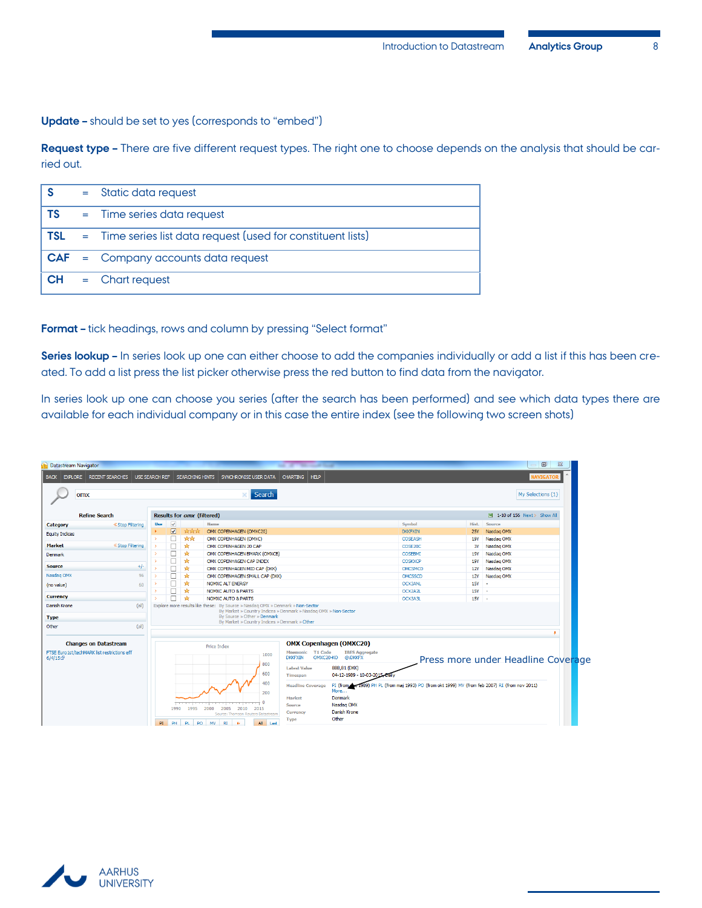**Update –** should be set to yes (corresponds to "embed")

**Request type –** There are five different request types. The right one to choose depends on the analysis that should be carried out.

| <b>S</b>  | $=$ Static data request                                                 |
|-----------|-------------------------------------------------------------------------|
| <b>TS</b> | $=$ Time series data request                                            |
|           | <b>TSL</b> = Time series list data request (used for constituent lists) |
|           | $CAF = Company accounts data request$                                   |
|           | $CH =$ Chart request                                                    |

**Format –** tick headings, rows and column by pressing "Select format"

**Series lookup –** In series look up one can either choose to add the companies individually or add a list if this has been created. To add a list press the list picker otherwise press the red button to find data from the navigator.

In series look up one can choose you series (after the search has been performed) and see which data types there are available for each individual company or in this case the entire index (see the following two screen shots)

| <b>Datastream Navigator</b>                            |                                  |                       |                         |                                                 |                                                                                                                                                             |                                                                                                                                                                                  |                                                               |                |                                    | $-1$ o                        |
|--------------------------------------------------------|----------------------------------|-----------------------|-------------------------|-------------------------------------------------|-------------------------------------------------------------------------------------------------------------------------------------------------------------|----------------------------------------------------------------------------------------------------------------------------------------------------------------------------------|---------------------------------------------------------------|----------------|------------------------------------|-------------------------------|
| <b>BACK</b>                                            | <b>EXPLORE</b>   RECENT SEARCHES | <b>USE SEARCH REF</b> |                         |                                                 | SEARCHING HINTS SYNCHRONISE USER DATA                                                                                                                       | CHARTING   HELP                                                                                                                                                                  |                                                               |                |                                    | <b>NAVIGATO</b>               |
| omx                                                    |                                  |                       |                         |                                                 | Search                                                                                                                                                      |                                                                                                                                                                                  |                                                               |                |                                    | My Selections (1)             |
|                                                        | <b>Refine Search</b>             |                       |                         | Results for omx (filtered)                      |                                                                                                                                                             |                                                                                                                                                                                  |                                                               |                |                                    | 3 1-10 of 156 Next > Show All |
| Category                                               | <b>« Stop Filtering</b>          | <b>Use</b>            | $\checkmark$            |                                                 | Name                                                                                                                                                        |                                                                                                                                                                                  |                                                               | Symbol         | Hist.                              | Source                        |
| <b>Equity Indices</b>                                  |                                  |                       | $\overline{\mathbf{v}}$ | <b>Strick</b>                                   | OMX COPENHAGEN (OMXC20)                                                                                                                                     |                                                                                                                                                                                  |                                                               | <b>DKKFXIN</b> | <b>25Y</b>                         | Nasdag OMX                    |
|                                                        |                                  |                       |                         | <b>Ark</b>                                      | OMX COPENHAGEN (OMXC)                                                                                                                                       |                                                                                                                                                                                  |                                                               | COSEASH        | 19Y                                | Nasdaq OMX                    |
| <b>Market</b>                                          | <b>« Stop Filtering</b>          |                       |                         | ÷.                                              | OMX COPENHAGEN 20 CAP                                                                                                                                       |                                                                                                                                                                                  |                                                               | COSE20C        | 3Y                                 | Nasdag OMX                    |
| Denmark                                                |                                  |                       |                         | ∗                                               | OMX COPENHAGEN BMARK (OMXCB)                                                                                                                                |                                                                                                                                                                                  |                                                               | COSEBMI        | 19Y                                | Nasdag OMX                    |
|                                                        |                                  |                       |                         | ÷.                                              | OMX COPENHAGEN CAP INDEX                                                                                                                                    |                                                                                                                                                                                  |                                                               | <b>COSKXCP</b> | <b>19Y</b>                         | Nasdaq OMX                    |
| <b>Source</b>                                          | $+/-$                            |                       |                         | ∗                                               | OMX COPENHAGEN MID CAP (DKK)                                                                                                                                |                                                                                                                                                                                  |                                                               | <b>OMCSMCD</b> | <b>12Y</b>                         | Nasdag OMX                    |
| Nasdag OMX                                             | 96                               |                       |                         | ∗                                               | OMX COPENHAGEN SMALL CAP (DKK)                                                                                                                              |                                                                                                                                                                                  |                                                               | OMCSSCD        | <b>12Y</b>                         | Nasdaq OMX                    |
| (no value)                                             | 60                               |                       |                         | ÷.                                              | <b>NOMXC ALT ENERGY</b>                                                                                                                                     |                                                                                                                                                                                  |                                                               | <b>OCX3ANL</b> | $15Y -$                            |                               |
| <b>Currency</b>                                        |                                  |                       |                         | ∗                                               | <b>NOMXC AUTO &amp; PARTS</b>                                                                                                                               |                                                                                                                                                                                  |                                                               | OCX2A2L        | 15Y -                              |                               |
|                                                        |                                  |                       |                         | ∗                                               | <b>NOMXC AUTO &amp; PARTS</b>                                                                                                                               |                                                                                                                                                                                  |                                                               | OCX3A3L        | $15Y -$                            |                               |
| Danish Krone                                           | (a  )                            |                       |                         |                                                 | Explore more results like these: By Source » Nasdaq OMX » Denmark » Non-Sector<br>By Market » Country Indices » Denmark » Nasdag OMX » Non-Sector           |                                                                                                                                                                                  |                                                               |                |                                    |                               |
| <b>Type</b>                                            |                                  |                       |                         |                                                 | By Source » Other » Denmark                                                                                                                                 |                                                                                                                                                                                  |                                                               |                |                                    |                               |
| Other                                                  | (a  )                            |                       |                         |                                                 | By Market » Country Indices » Denmark » Other                                                                                                               |                                                                                                                                                                                  |                                                               |                |                                    |                               |
|                                                        |                                  |                       |                         |                                                 |                                                                                                                                                             |                                                                                                                                                                                  |                                                               |                |                                    |                               |
|                                                        | <b>Changes on Datastream</b>     |                       |                         |                                                 |                                                                                                                                                             |                                                                                                                                                                                  | <b>OMX Copenhagen (OMXC20)</b>                                |                |                                    |                               |
| FTSE Euro 1st/techMARK list restrictions eff<br>6/4/15 |                                  |                       |                         | <b>Price Index</b><br>1000<br>800<br>600<br>400 | Mnemonic T1 Code<br>OMXC20-KO<br><b>DKKFXIN</b><br><b>Latest Value</b><br>Timespan<br><b>Headline Coverage</b>                                              | <b>IBES Aggregate</b><br>@:DKKFX<br>888,81 (DKK)<br>04-12-1989 - 10-03-2015<br>PI (from the 1989) PH PL (from maj 1993) PO (from okt 1999) MV (from feb 2007) RI (from nov 2011) |                                                               |                | Press more under Headline Coverage |                               |
|                                                        |                                  | PI.                   | 1990<br>PH              | 1995<br>PL<br>PO                                | 200<br>$\overline{\phantom{0}}$<br>2000<br>2005<br>2010<br>2015<br>Source: Thomson Reuters Datastream<br><b>MV</b><br>RI<br>$\triangleright$<br>All<br>Last | Market<br>Source<br>Currency<br><b>Type</b>                                                                                                                                      | More<br><b>Denmark</b><br>Nasdag OMX<br>Danish Krone<br>Other |                |                                    |                               |

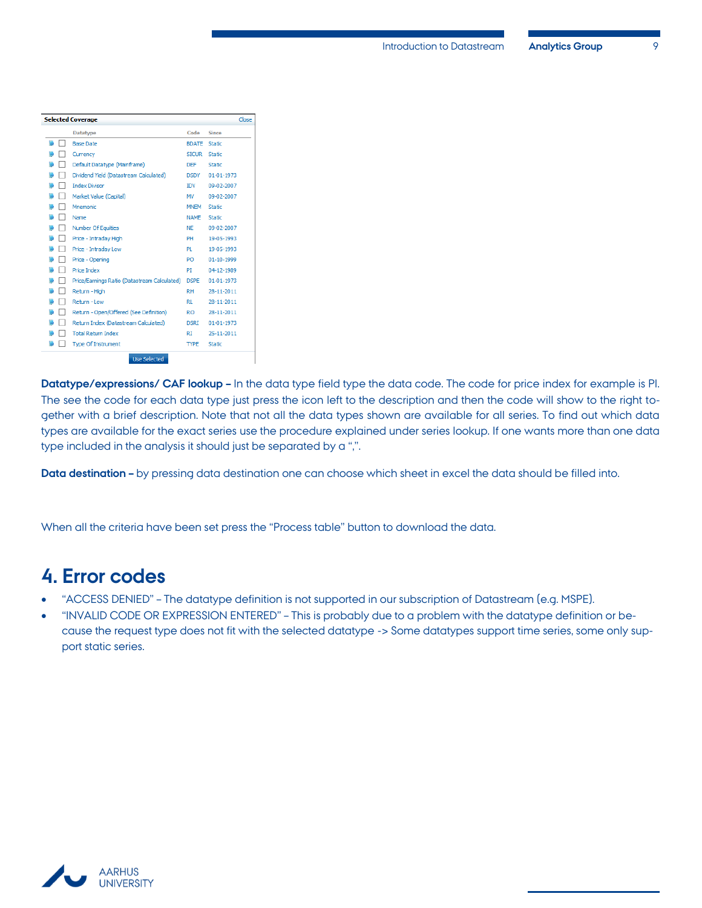| <b>Selected Coverage</b>                     |               |                  | Close |
|----------------------------------------------|---------------|------------------|-------|
| <b>Datatype</b>                              | Code          | <b>Since</b>     |       |
| <b>Base Date</b>                             | <b>BDATE</b>  | <b>Static</b>    |       |
| Currency                                     | <b>STCLIR</b> | Static           |       |
| Default Datatype (Mainframe)                 | <b>DEF</b>    | Static           |       |
| Dividend Yield (Datastream Calculated)       | <b>DSDY</b>   | 01-01-1973       |       |
| <b>Index Divisor</b>                         | <b>IDV</b>    | 09-02-2007       |       |
| Market Value (Capital)                       | MV            | 09-02-2007       |       |
| Mnemonic                                     | <b>MNEM</b>   | <b>Static</b>    |       |
| Name                                         | <b>NAME</b>   | <b>Static</b>    |       |
| Number Of Equities                           | <b>NE</b>     | 09-02-2007       |       |
| Price - Intraday High                        | PH            | 19-05-1993       |       |
| Price - Intraday Low                         | PL            | 19-05-1993       |       |
| Price - Opening                              | PO            | $01 - 10 - 1999$ |       |
| <b>Price Index</b>                           | PI            | 04-12-1989       |       |
| Price/Earnings Ratio (Datastream Calculated) | <b>DSPE</b>   | 01-01-1973       |       |
| Return - High                                | <b>RH</b>     | 28-11-2011       |       |
| Return - Low                                 | RL.           | 28-11-2011       |       |
| Return - Open/Offered (See Definition)       | RO.           | 28-11-2011       |       |
| Return Index (Datastream Calculated)         | <b>DSRT</b>   | 01-01-1973       |       |
| <b>Total Return Index</b>                    | RT            | 25-11-2011       |       |
| <b>Type Of Instrument</b>                    | <b>TYPE</b>   | <b>Static</b>    |       |
| <b>Use Selected</b>                          |               |                  |       |

**Datatype/expressions/ CAF lookup –** In the data type field type the data code. The code for price index for example is PI. The see the code for each data type just press the icon left to the description and then the code will show to the right together with a brief description. Note that not all the data types shown are available for all series. To find out which data types are available for the exact series use the procedure explained under series lookup. If one wants more than one data type included in the analysis it should just be separated by a ",".

**Data destination –** by pressing data destination one can choose which sheet in excel the data should be filled into.

When all the criteria have been set press the "Process table" button to download the data.

## <span id="page-10-0"></span>**4. Error codes**

- "ACCESS DENIED" The datatype definition is not supported in our subscription of Datastream (e.g. MSPE).
- "INVALID CODE OR EXPRESSION ENTERED" This is probably due to a problem with the datatype definition or because the request type does not fit with the selected datatype -> Some datatypes support time series, some only support static series.

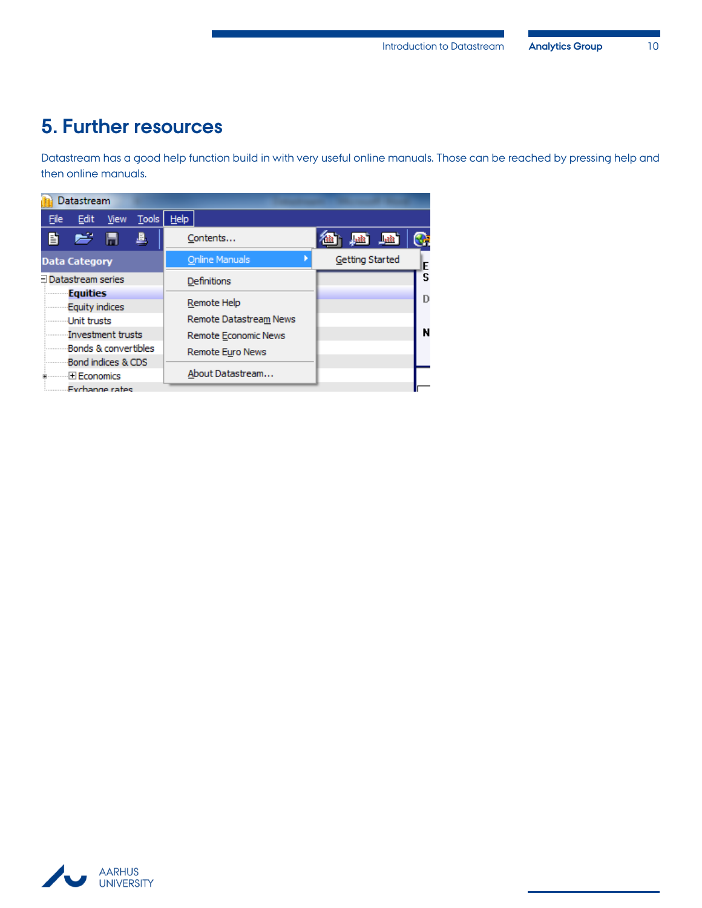## <span id="page-11-0"></span>**5. Further resources**

Datastream has a good help function build in with very useful online manuals. Those can be reached by pressing help and then online manuals.

|                       | Datastream           |                |       |      |                         |  |                 |    |
|-----------------------|----------------------|----------------|-------|------|-------------------------|--|-----------------|----|
| File                  | Edit                 | View           | Tools | Help |                         |  |                 |    |
| 昏                     | e H                  |                | 凰     |      | Contents                |  |                 | s. |
|                       | <b>Data Category</b> |                |       |      | <b>Online Manuals</b>   |  | Getting Started | E  |
| Datastream series     |                      |                |       |      | Definitions             |  |                 | S  |
| <b>Equities</b>       |                      |                |       |      |                         |  |                 | D  |
| <b>Equity indices</b> |                      |                |       |      | Remote Help             |  |                 |    |
| Unit trusts           |                      |                |       |      | Remote Datastream News  |  |                 |    |
|                       | Investment trusts    |                |       |      | Remote Economic News    |  |                 | N  |
| Bonds & convertibles  |                      |                |       |      | <b>Remote Euro News</b> |  |                 |    |
| Bond indices & CDS    |                      |                |       |      |                         |  |                 |    |
| Economics             |                      |                |       |      | About Datastream        |  |                 |    |
|                       |                      | Exchange rates |       |      |                         |  |                 |    |